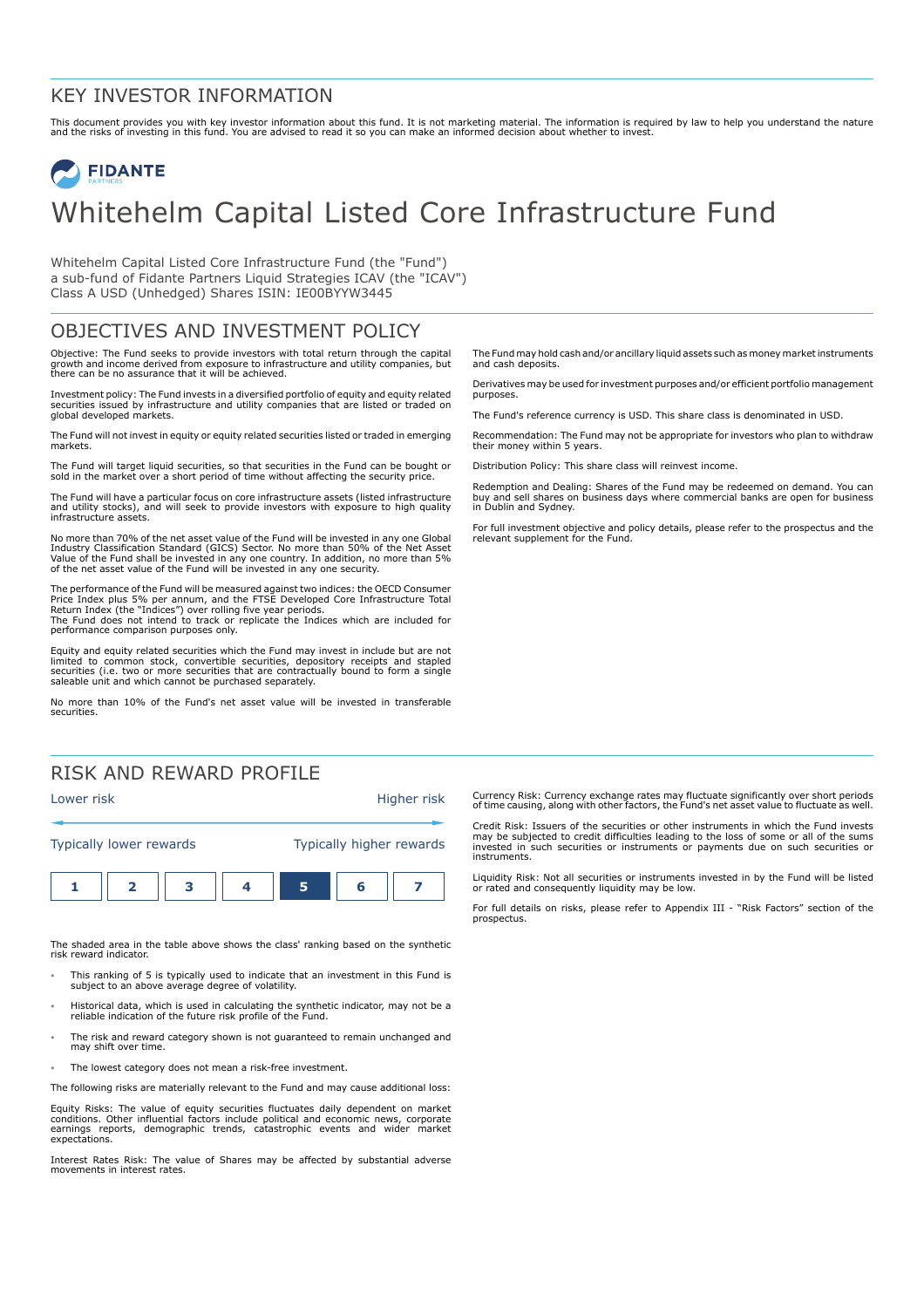### KEY INVESTOR INFORMATION

This document provides you with key investor information about this fund. It is not marketing material. The information is required by law to help you understand the nature<br>and the risks of investing in this fund. You are

# **FIDANTE** Whitehelm Capital Listed Core Infrastructure Fund

Whitehelm Capital Listed Core Infrastructure Fund (the "Fund") a sub-fund of Fidante Partners Liquid Strategies ICAV (the "ICAV") Class A USD (Unhedged) Shares ISIN: IE00BYYW3445

## OBJECTIVES AND INVESTMENT POLICY

Objective: The Fund seeks to provide investors with total return through the capital growth and income derived from exposure to infrastructure and utility companies, but there can be no assurance that it will be achieved.

Investment policy: The Fund invests in a diversified portfolio of equity and equity related securities issued by infrastructure and utility companies that are listed or traded on global developed markets.

The Fund will not invest in equity or equity related securities listed or traded in emerging markets.

The Fund will target liquid securities, so that securities in the Fund can be bought or sold in the market over a short period of time without affecting the security price.

The Fund will have a particular focus on core infrastructure assets (listed infrastructure and utility stocks), and will seek to provide investors with exposure to high quality infrastructure assets.

No more than 70% of the net asset value of the Fund will be invested in any one Global Industry Classification Standard (GICS) Sector. No more than 50% of the Net Asset<br>Value of the Fund shall be invested in any one country. In addition, no more than 5%<br>of the net asset value of the Fund will be invested in

The performance of the Fund will be measured against two indices: the OECD Consumer Price Index plus 5% per annum, and the FTSE Developed Core Infrastructure Total<br>Return Index (the "Indices") over rolling five year periods.<br>The Fund does not intend to track or replicate the Indices which are included for performance comparison purposes only.

Equity and equity related securities which the Fund may invest in include but are not limited to common stock, convertible securities, depository receipts and stapled securities (i.e. two or more securities that are contractually bound to form a single saleable unit and which cannot be purchased separately.

No more than 10% of the Fund's net asset value will be invested in transferable securities.

## RISK AND REWARD PROFILE



The shaded area in the table above shows the class' ranking based on the synthetic risk reward indicator.

- 1 This ranking of 5 is typically used to indicate that an investment in this Fund is subject to an above average degree of volatility.
- 1 Historical data, which is used in calculating the synthetic indicator, may not be a reliable indication of the future risk profile of the Fund.
- The risk and reward category shown is not guaranteed to remain unchanged and may shift over time.
- The lowest category does not mean a risk-free investment.

The following risks are materially relevant to the Fund and may cause additional loss:

Equity Risks: The value of equity securities fluctuates daily dependent on market conditions. Other influential factors include political and economic news, corporate earnings reports, demographic trends, catastrophic events and wider market expectations.

Interest Rates Risk: The value of Shares may be affected by substantial adverse movements in interest rates.

The Fund may hold cash and/or ancillary liquid assets such as money market instruments and cash deposits.

Derivatives may be used for investment purposes and/or efficient portfolio management purposes.

The Fund's reference currency is USD. This share class is denominated in USD.

Recommendation: The Fund may not be appropriate for investors who plan to withdraw their money within 5 years.

Distribution Policy: This share class will reinvest income.

Redemption and Dealing: Shares of the Fund may be redeemed on demand. You can buy and sell shares on business days where commercial banks are open for business in Dublin and Sydney.

For full investment objective and policy details, please refer to the prospectus and the relevant supplement for the Fund.

Currency Risk: Currency exchange rates may fluctuate significantly over short periods of time causing, along with other factors, the Fund's net asset value to fluctuate as well.

Credit Risk: Issuers of the securities or other instruments in which the Fund invests may be subjected to credit difficulties leading to the loss of some or all of the sums invested in such securities or instruments or payments due on such securities or instruments.

Liquidity Risk: Not all securities or instruments invested in by the Fund will be listed or rated and consequently liquidity may be low.

For full details on risks, please refer to Appendix III - "Risk Factors" section of the prospectus.